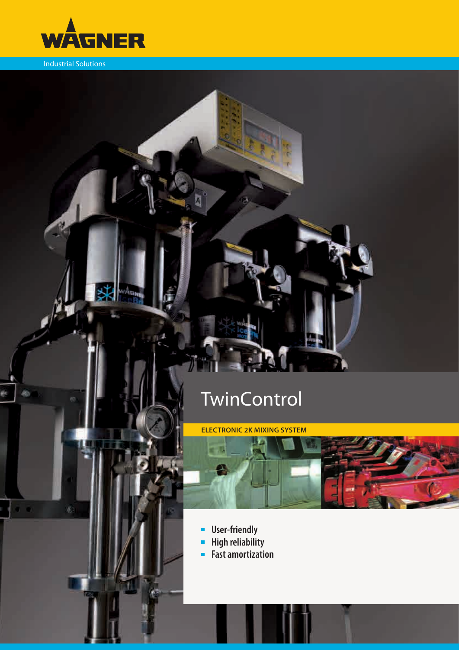

Industrial Solutions

 $\overline{a}$ 

## **TwinControl**

**ELECTRONIC 2K MIXING SYSTEM** 



- **-** User-friendly
- **High reliability**  $\blacksquare$
- **Fast amortization**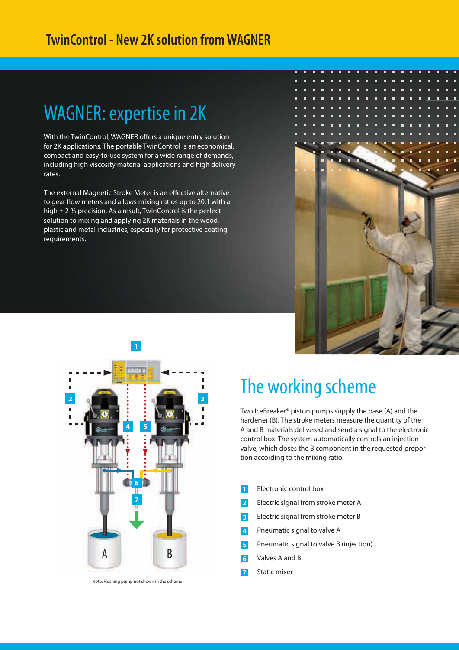### WAGNER: expertise in 2K

With the TwinControl, WAGNER offers a unique entry solution for 2K applications. The portable TwinControl is an economical, compact and easy-to-use system for a wide range of demands, including high viscosity material applications and high delivery rates.

The external Magnetic Stroke Meter is an effective alternative to gear flow meters and allows mixing ratios up to 20:1 with a high ± 2 % precision. As a result, TwinControl is the perfect solution to mixing and applying 2K materials in the wood, plastic and metal industries, especially for protective coating requirements.





Note: Flushing pump not shown in the scheme

### The working scheme

Two IceBreaker® piston pumps supply the base (A) and the hardener (B). The stroke meters measure the quantity of the A and B materials delivered and send a signal to the electronic control box. The system automatically controls an injection valve, which doses the B component in the requested proportion according to the mixing ratio.

- Electronic control box
- **2** Electric signal from stroke meter A
- **3** Electric signal from stroke meter B
- **4** Pneumatic signal to valve A
- **5** Pneumatic signal to valve B (injection)
- **6** Valves A and B
- **7** Static mixer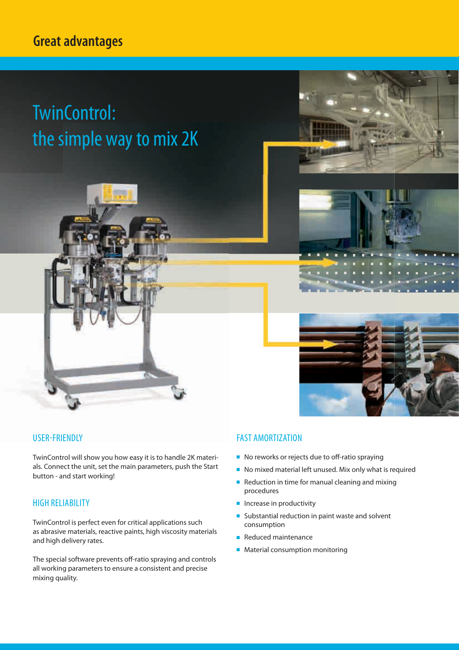#### **Great advantages**

# TwinControl: the simple way to mix 2K









#### USER-FRIENDLY

TwinControl will show you how easy it is to handle 2K materials. Connect the unit, set the main parameters, push the Start button - and start working!

#### HIGH RELIABILITY

TwinControl is perfect even for critical applications such as abrasive materials, reactive paints, high viscosity materials and high delivery rates.

The special software prevents off-ratio spraying and controls all working parameters to ensure a consistent and precise mixing quality.

#### FAST AMORTIZATION

- $\blacksquare$  No reworks or rejects due to off-ratio spraying
- No mixed material left unused. Mix only what is required
- $\blacksquare$  Reduction in time for manual cleaning and mixing procedures
- $\blacksquare$  Increase in productivity
- $\blacksquare$  Substantial reduction in paint waste and solvent consumption
- Reduced maintenance
- **Material consumption monitoring**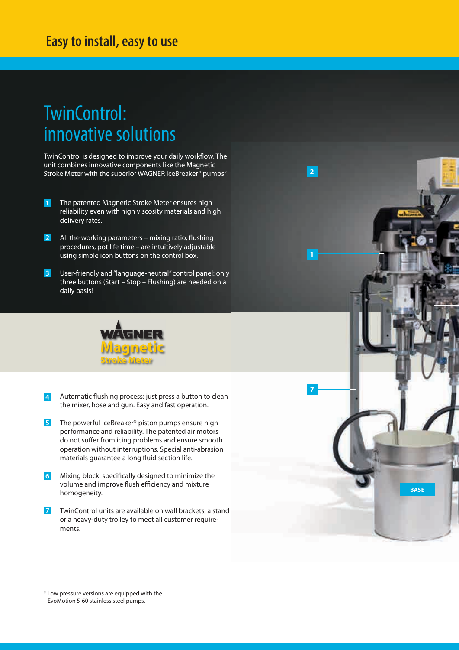#### **Easy to install, easy to use**

### TwinControl: innovative solutions

TwinControl is designed to improve your daily workflow. The unit combines innovative components like the Magnetic Stroke Meter with the superior WAGNER IceBreaker<sup>®</sup> pumps<sup>\*</sup>.

- **1** The patented Magnetic Stroke Meter ensures high reliability even with high viscosity materials and high delivery rates.
- **2** All the working parameters – mixing ratio, flushing procedures, pot life time – are intuitively adjustable using simple icon buttons on the control box.
- **3** User-friendly and "language-neutral" control panel: only three buttons (Start – Stop – Flushing) are needed on a daily basis!



- **4** Automatic flushing process: just press a button to clean the mixer, hose and gun. Easy and fast operation.
- **5** The powerful IceBreaker® piston pumps ensure high performance and reliability. The patented air motors do not suffer from icing problems and ensure smooth operation without interruptions. Special anti-abrasion materials guarantee a long fluid section life.
- 6 Mixing block: specifically designed to minimize the volume and improve flush efficiency and mixture homogeneity.
- **7** TwinControl units are available on wall brackets, a stand or a heavy-duty trolley to meet all customer requirements.

**BASE**

**7**

**2**

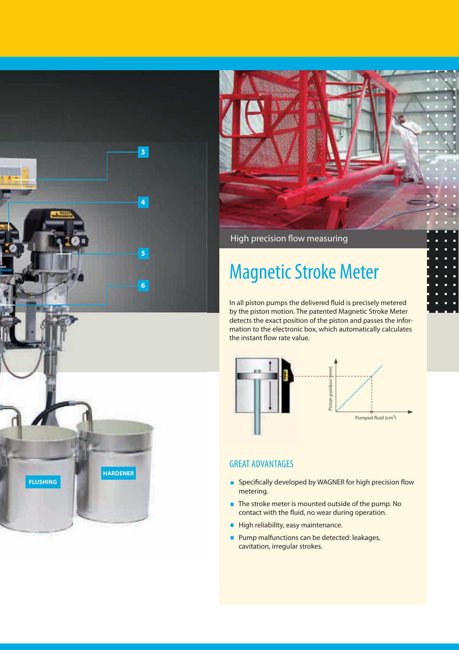

High precision flow measuring

## Magnetic Stroke Meter

In all piston pumps the delivered fluid is precisely metered by the piston motion. The patented Magnetic Stroke Meter detects the exact position of the piston and passes the information to the electronic box, which automatically calculates the instant flow rate value.



#### GREAT ADVANTAGES

- $\blacksquare$  Specifically developed by WAGNER for high precision flow metering.
- The stroke meter is mounted outside of the pump. No contact with the fluid, no wear during operation.
- High reliability, easy maintenance.
- **Pump malfunctions can be detected: leakages,** cavitation, irregular strokes.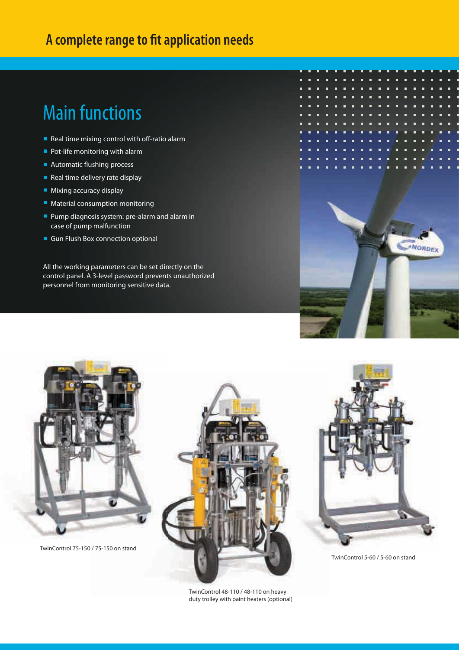#### **A complete range to fit application needs**

### Main functions

- Real time mixing control with off-ratio alarm
- Pot-life monitoring with alarm
- $\blacksquare$  Automatic flushing process
- $\blacksquare$  Real time delivery rate display
- **Mixing accuracy display**
- Material consumption monitoring
- **Pump diagnosis system: pre-alarm and alarm in** case of pump malfunction
- Gun Flush Box connection optional

All the working parameters can be set directly on the control panel. A 3-level password prevents unauthorized personnel from monitoring sensitive data.





TwinControl 75-150 / 75-150 on stand



TwinControl 48-110 / 48-110 on heavy duty trolley with paint heaters (optional)



TwinControl 5-60 / 5-60 on stand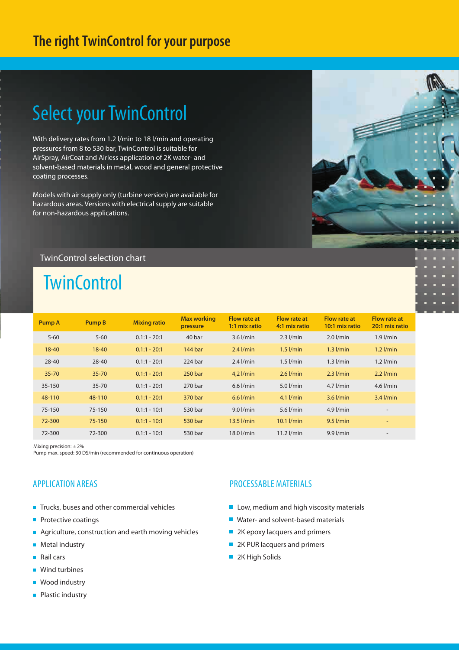### **The right TwinControl for your purpose**

### Select your TwinControl

With delivery rates from 1.2 l/min to 18 l/min and operating pressures from 8 to 530 bar, TwinControl is suitable for AirSpray, AirCoat and Airless application of 2K water- and solvent-based materials in metal, wood and general protective coating processes.

Models with air supply only (turbine version) are available for hazardous areas. Versions with electrical supply are suitable for non-hazardous applications.

#### TwinControl selection chart

### **TwinControl**

| <b>Pump A</b> | <b>Pump B</b> | <b>Mixing ratio</b> | <b>Max working</b><br>pressure | <b>Flow rate at</b><br>1:1 mix ratio | <b>Flow rate at</b><br>4:1 mix ratio | Flow rate at<br>10:1 mix ratio | <b>Flow rate at</b><br>20:1 mix ratio |
|---------------|---------------|---------------------|--------------------------------|--------------------------------------|--------------------------------------|--------------------------------|---------------------------------------|
| $5 - 60$      | $5 - 60$      | $0.1:1 - 20:1$      | 40 bar                         | $3.6$ $I/min$                        | $2.3$ $I/min$                        | $2.0$ $l/min$                  | $1.9$ $l/min$                         |
| $18 - 40$     | $18 - 40$     | $0.1:1 - 20:1$      | 144 bar                        | $2.4$ $l/min$                        | $1.5$ $I/min$                        | $1.3$ $I/min$                  | $1.2$ $l/min$                         |
| $28 - 40$     | $28 - 40$     | $0.1:1 - 20:1$      | $224$ bar                      | $2.4$ $l/min$                        | $1.5$ $I/min$                        | $1.3$ $I/min$                  | $1.2$ $l/min$                         |
| $35 - 70$     | $35 - 70$     | $0.1:1 - 20:1$      | 250 bar                        | $4.2$ $l/min$                        | $2.6$ $I/min$                        | $2.3$ $I/min$                  | $2.2$ $I/min$                         |
| 35-150        | $35 - 70$     | $0.1:1 - 20:1$      | 270 bar                        | $6.6$ $I/min$                        | $5.0$ $l/min$                        | $4.7$ $l/min$                  | 4.6 $l/min$                           |
| 48-110        | 48-110        | $0.1:1 - 20:1$      | 370 bar                        | $6.6$ $I/min$                        | $4.1$ $l/min$                        | $3.6$ $I/min$                  | $3.4$ $l/min$                         |
| 75-150        | 75-150        | $0.1:1 - 10:1$      | 530 bar                        | $9.0$ $l/min$                        | 5.6 $l/min$                          | $4.9$ $l/min$                  | $\overline{\phantom{a}}$              |
| 72-300        | $75 - 150$    | $0.1:1 - 10:1$      | 530 bar                        | $13.5$ $I/min$                       | $10.1$ $l/min$                       | $9.5$ $I/min$                  | $\overline{\phantom{a}}$              |
| 72-300        | 72-300        | $0.1:1 - 10:1$      | 530 bar                        | 18.0 l/min                           | $11.2$ $l/min$                       | $9.9$ $I/min$                  | $\overline{\phantom{a}}$              |

Mixing precision: ± 2%

Pump max. speed: 30 DS/min (recommended for continuous operation)

#### APPLICATION AREAS

- Trucks, buses and other commercial vehicles
- $\blacksquare$  Protective coatings
- Agriculture, construction and earth moving vehicles
- **Metal industry**
- **Rail cars**
- Wind turbines
- **Wood industry**
- **Plastic industry**

#### PROCESSABLE MATERIALS

- Low, medium and high viscosity materials
- Water- and solvent-based materials
- 2K epoxy lacquers and primers
- 2K PUR lacquers and primers
- 2K High Solids